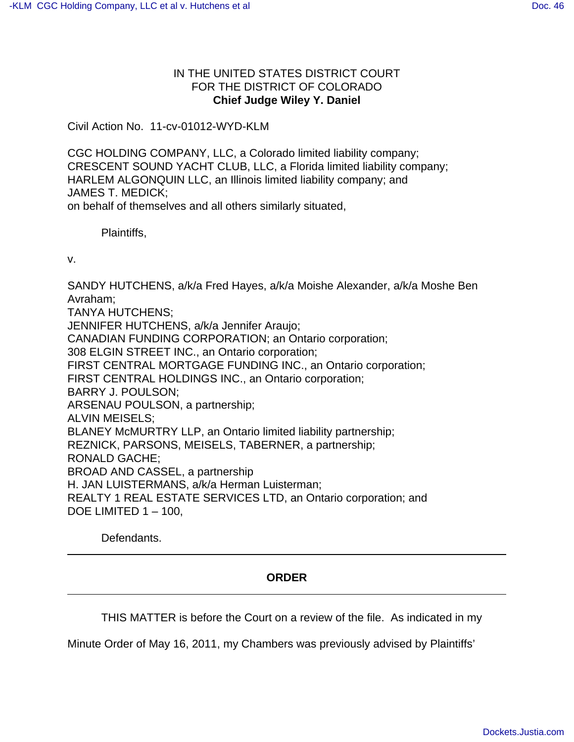## IN THE UNITED STATES DISTRICT COURT FOR THE DISTRICT OF COLORADO **Chief Judge Wiley Y. Daniel**

Civil Action No. 11-cv-01012-WYD-KLM

CGC HOLDING COMPANY, LLC, a Colorado limited liability company; CRESCENT SOUND YACHT CLUB, LLC, a Florida limited liability company; HARLEM ALGONQUIN LLC, an Illinois limited liability company; and JAMES T. MEDICK; on behalf of themselves and all others similarly situated,

Plaintiffs,

v.

SANDY HUTCHENS, a/k/a Fred Hayes, a/k/a Moishe Alexander, a/k/a Moshe Ben Avraham; TANYA HUTCHENS; JENNIFER HUTCHENS, a/k/a Jennifer Araujo; CANADIAN FUNDING CORPORATION; an Ontario corporation; 308 ELGIN STREET INC., an Ontario corporation; FIRST CENTRAL MORTGAGE FUNDING INC., an Ontario corporation; FIRST CENTRAL HOLDINGS INC., an Ontario corporation; BARRY J. POULSON; ARSENAU POULSON, a partnership; ALVIN MEISELS; BLANEY McMURTRY LLP, an Ontario limited liability partnership; REZNICK, PARSONS, MEISELS, TABERNER, a partnership; RONALD GACHE; BROAD AND CASSEL, a partnership H. JAN LUISTERMANS, a/k/a Herman Luisterman; REALTY 1 REAL ESTATE SERVICES LTD, an Ontario corporation; and DOE LIMITED 1 – 100,

Defendants.

## **ORDER**

THIS MATTER is before the Court on a review of the file. As indicated in my

Minute Order of May 16, 2011, my Chambers was previously advised by Plaintiffs'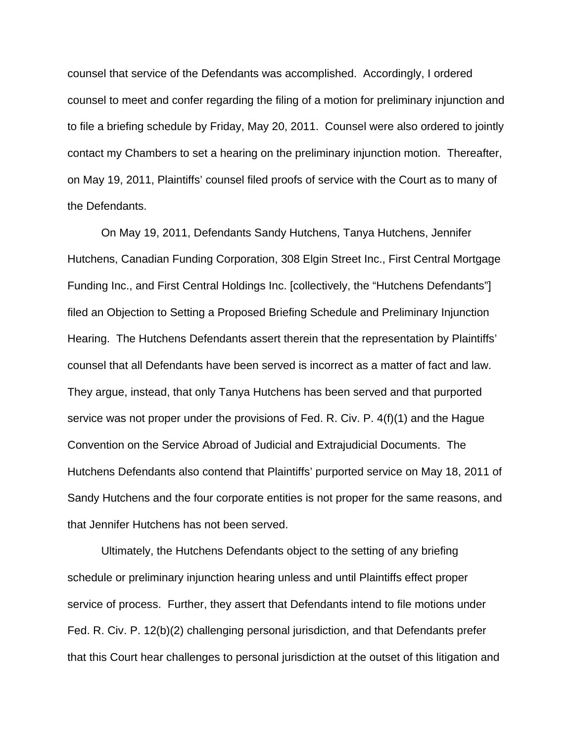counsel that service of the Defendants was accomplished. Accordingly, I ordered counsel to meet and confer regarding the filing of a motion for preliminary injunction and to file a briefing schedule by Friday, May 20, 2011. Counsel were also ordered to jointly contact my Chambers to set a hearing on the preliminary injunction motion. Thereafter, on May 19, 2011, Plaintiffs' counsel filed proofs of service with the Court as to many of the Defendants.

On May 19, 2011, Defendants Sandy Hutchens, Tanya Hutchens, Jennifer Hutchens, Canadian Funding Corporation, 308 Elgin Street Inc., First Central Mortgage Funding Inc., and First Central Holdings Inc. [collectively, the "Hutchens Defendants"] filed an Objection to Setting a Proposed Briefing Schedule and Preliminary Injunction Hearing. The Hutchens Defendants assert therein that the representation by Plaintiffs' counsel that all Defendants have been served is incorrect as a matter of fact and law. They argue, instead, that only Tanya Hutchens has been served and that purported service was not proper under the provisions of Fed. R. Civ. P. 4(f)(1) and the Hague Convention on the Service Abroad of Judicial and Extrajudicial Documents. The Hutchens Defendants also contend that Plaintiffs' purported service on May 18, 2011 of Sandy Hutchens and the four corporate entities is not proper for the same reasons, and that Jennifer Hutchens has not been served.

Ultimately, the Hutchens Defendants object to the setting of any briefing schedule or preliminary injunction hearing unless and until Plaintiffs effect proper service of process. Further, they assert that Defendants intend to file motions under Fed. R. Civ. P. 12(b)(2) challenging personal jurisdiction, and that Defendants prefer that this Court hear challenges to personal jurisdiction at the outset of this litigation and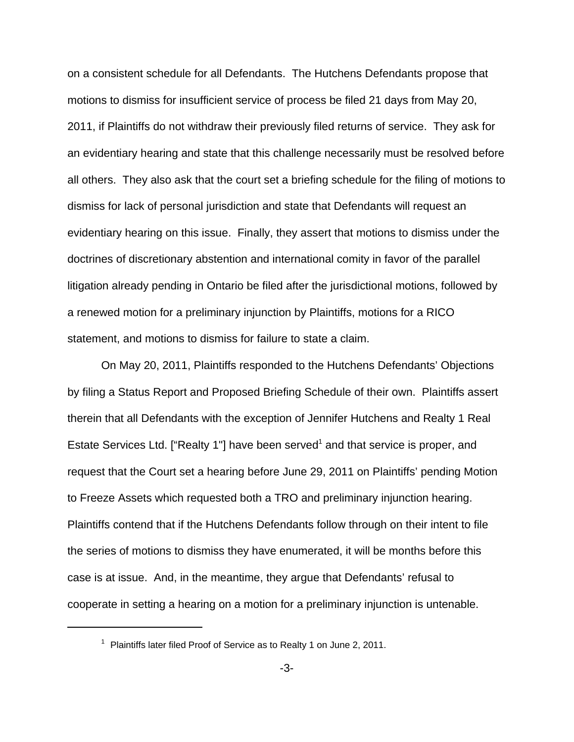on a consistent schedule for all Defendants. The Hutchens Defendants propose that motions to dismiss for insufficient service of process be filed 21 days from May 20, 2011, if Plaintiffs do not withdraw their previously filed returns of service. They ask for an evidentiary hearing and state that this challenge necessarily must be resolved before all others. They also ask that the court set a briefing schedule for the filing of motions to dismiss for lack of personal jurisdiction and state that Defendants will request an evidentiary hearing on this issue. Finally, they assert that motions to dismiss under the doctrines of discretionary abstention and international comity in favor of the parallel litigation already pending in Ontario be filed after the jurisdictional motions, followed by a renewed motion for a preliminary injunction by Plaintiffs, motions for a RICO statement, and motions to dismiss for failure to state a claim.

On May 20, 2011, Plaintiffs responded to the Hutchens Defendants' Objections by filing a Status Report and Proposed Briefing Schedule of their own. Plaintiffs assert therein that all Defendants with the exception of Jennifer Hutchens and Realty 1 Real Estate Services Ltd. ["Realty 1"] have been served<sup>1</sup> and that service is proper, and request that the Court set a hearing before June 29, 2011 on Plaintiffs' pending Motion to Freeze Assets which requested both a TRO and preliminary injunction hearing. Plaintiffs contend that if the Hutchens Defendants follow through on their intent to file the series of motions to dismiss they have enumerated, it will be months before this case is at issue. And, in the meantime, they argue that Defendants' refusal to cooperate in setting a hearing on a motion for a preliminary injunction is untenable.

 $1$  Plaintiffs later filed Proof of Service as to Realty 1 on June 2, 2011.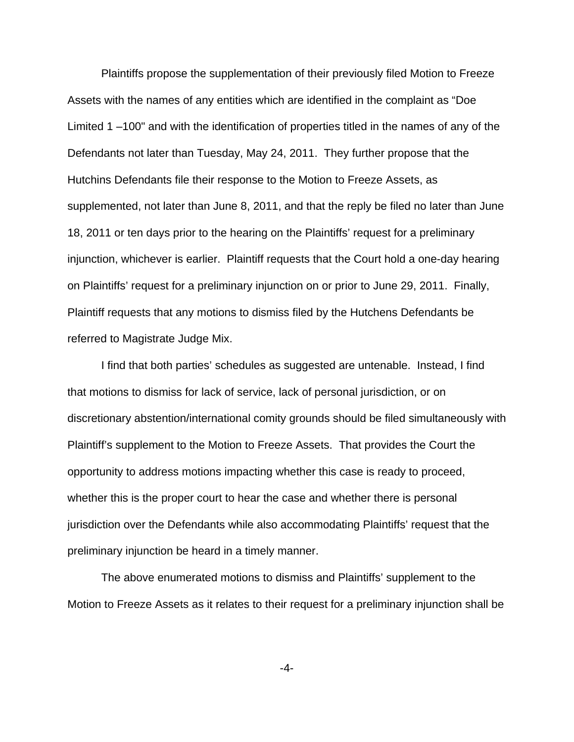Plaintiffs propose the supplementation of their previously filed Motion to Freeze Assets with the names of any entities which are identified in the complaint as "Doe Limited 1 –100" and with the identification of properties titled in the names of any of the Defendants not later than Tuesday, May 24, 2011. They further propose that the Hutchins Defendants file their response to the Motion to Freeze Assets, as supplemented, not later than June 8, 2011, and that the reply be filed no later than June 18, 2011 or ten days prior to the hearing on the Plaintiffs' request for a preliminary injunction, whichever is earlier. Plaintiff requests that the Court hold a one-day hearing on Plaintiffs' request for a preliminary injunction on or prior to June 29, 2011. Finally, Plaintiff requests that any motions to dismiss filed by the Hutchens Defendants be referred to Magistrate Judge Mix.

I find that both parties' schedules as suggested are untenable. Instead, I find that motions to dismiss for lack of service, lack of personal jurisdiction, or on discretionary abstention/international comity grounds should be filed simultaneously with Plaintiff's supplement to the Motion to Freeze Assets. That provides the Court the opportunity to address motions impacting whether this case is ready to proceed, whether this is the proper court to hear the case and whether there is personal jurisdiction over the Defendants while also accommodating Plaintiffs' request that the preliminary injunction be heard in a timely manner.

The above enumerated motions to dismiss and Plaintiffs' supplement to the Motion to Freeze Assets as it relates to their request for a preliminary injunction shall be

-4-